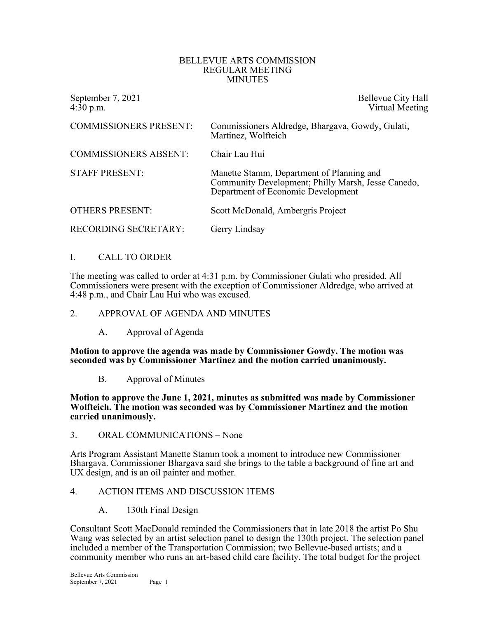#### BELLEVUE ARTS COMMISSION REGULAR MEETING MINUTES

September 7, 2021<br>4:30 p.m. September 7, 2021<br>Virtual Meeting Virtual Meeting

| <b>COMMISSIONERS PRESENT:</b> | Commissioners Aldredge, Bhargava, Gowdy, Gulati,<br>Martinez, Wolfteich                                                               |
|-------------------------------|---------------------------------------------------------------------------------------------------------------------------------------|
| <b>COMMISSIONERS ABSENT:</b>  | Chair Lau Hui                                                                                                                         |
| <b>STAFF PRESENT:</b>         | Manette Stamm, Department of Planning and<br>Community Development; Philly Marsh, Jesse Canedo,<br>Department of Economic Development |
| <b>OTHERS PRESENT:</b>        | Scott McDonald, Ambergris Project                                                                                                     |
| <b>RECORDING SECRETARY:</b>   | Gerry Lindsay                                                                                                                         |

# I. CALL TO ORDER

The meeting was called to order at 4:31 p.m. by Commissioner Gulati who presided. All Commissioners were present with the exception of Commissioner Aldredge, who arrived at 4:48 p.m., and Chair Lau Hui who was excused.

### 2. APPROVAL OF AGENDA AND MINUTES

A. Approval of Agenda

**Motion to approve the agenda was made by Commissioner Gowdy. The motion was seconded was by Commissioner Martinez and the motion carried unanimously.**

B. Approval of Minutes

**Motion to approve the June 1, 2021, minutes as submitted was made by Commissioner Wolfteich. The motion was seconded was by Commissioner Martinez and the motion carried unanimously.**

3. ORAL COMMUNICATIONS – None

Arts Program Assistant Manette Stamm took a moment to introduce new Commissioner Bhargava. Commissioner Bhargava said she brings to the table a background of fine art and UX design, and is an oil painter and mother.

### 4. ACTION ITEMS AND DISCUSSION ITEMS

A. 130th Final Design

Consultant Scott MacDonald reminded the Commissioners that in late 2018 the artist Po Shu Wang was selected by an artist selection panel to design the 130th project. The selection panel included a member of the Transportation Commission; two Bellevue-based artists; and a community member who runs an art-based child care facility. The total budget for the project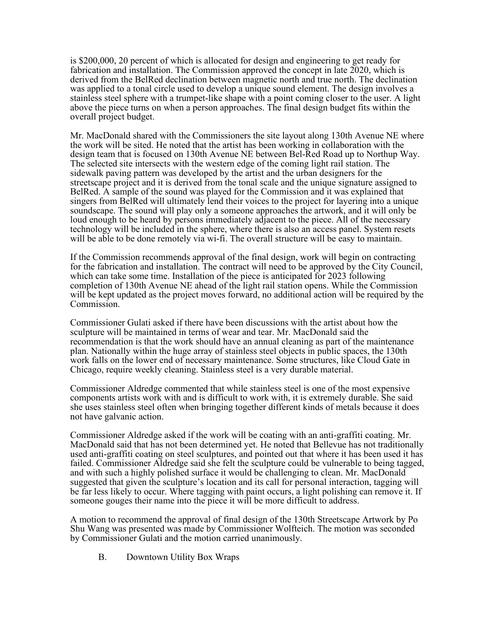is \$200,000, 20 percent of which is allocated for design and engineering to get ready for fabrication and installation. The Commission approved the concept in late 2020, which is derived from the BelRed declination between magnetic north and true north. The declination was applied to a tonal circle used to develop a unique sound element. The design involves a stainless steel sphere with a trumpet-like shape with a point coming closer to the user. A light above the piece turns on when a person approaches. The final design budget fits within the overall project budget.

Mr. MacDonald shared with the Commissioners the site layout along 130th Avenue NE where the work will be sited. He noted that the artist has been working in collaboration with the design team that is focused on 130th Avenue NE between Bel-Red Road up to Northup Way. The selected site intersects with the western edge of the coming light rail station. The sidewalk paving pattern was developed by the artist and the urban designers for the streetscape project and it is derived from the tonal scale and the unique signature assigned to BelRed. A sample of the sound was played for the Commission and it was explained that singers from BelRed will ultimately lend their voices to the project for layering into a unique soundscape. The sound will play only a someone approaches the artwork, and it will only be loud enough to be heard by persons immediately adjacent to the piece. All of the necessary technology will be included in the sphere, where there is also an access panel. System resets will be able to be done remotely via wi-fi. The overall structure will be easy to maintain.

If the Commission recommends approval of the final design, work will begin on contracting for the fabrication and installation. The contract will need to be approved by the City Council, which can take some time. Installation of the piece is anticipated for 2023 following completion of 130th Avenue NE ahead of the light rail station opens. While the Commission will be kept updated as the project moves forward, no additional action will be required by the Commission.

Commissioner Gulati asked if there have been discussions with the artist about how the sculpture will be maintained in terms of wear and tear. Mr. MacDonald said the recommendation is that the work should have an annual cleaning as part of the maintenance plan. Nationally within the huge array of stainless steel objects in public spaces, the 130th work falls on the lower end of necessary maintenance. Some structures, like Cloud Gate in Chicago, require weekly cleaning. Stainless steel is a very durable material.

Commissioner Aldredge commented that while stainless steel is one of the most expensive components artists work with and is difficult to work with, it is extremely durable. She said she uses stainless steel often when bringing together different kinds of metals because it does not have galvanic action.

Commissioner Aldredge asked if the work will be coating with an anti-graffiti coating. Mr. MacDonald said that has not been determined yet. He noted that Bellevue has not traditionally used anti-graffiti coating on steel sculptures, and pointed out that where it has been used it has failed. Commissioner Aldredge said she felt the sculpture could be vulnerable to being tagged, and with such a highly polished surface it would be challenging to clean. Mr. MacDonald suggested that given the sculpture's location and its call for personal interaction, tagging will be far less likely to occur. Where tagging with paint occurs, a light polishing can remove it. If someone gouges their name into the piece it will be more difficult to address.

A motion to recommend the approval of final design of the 130th Streetscape Artwork by Po Shu Wang was presented was made by Commissioner Wolfteich. The motion was seconded by Commissioner Gulati and the motion carried unanimously.

B. Downtown Utility Box Wraps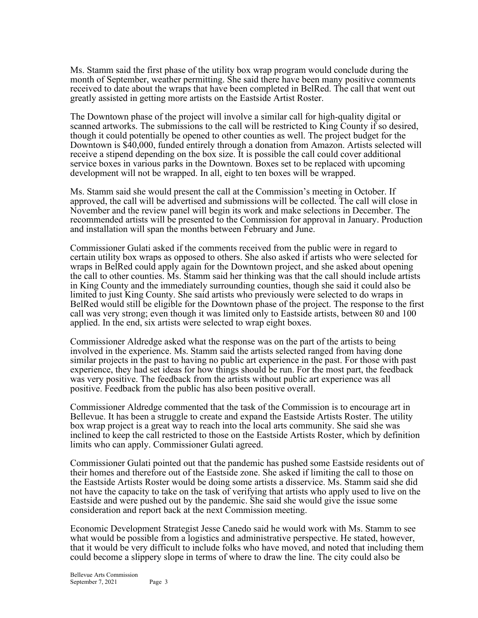Ms. Stamm said the first phase of the utility box wrap program would conclude during the month of September, weather permitting. She said there have been many positive comments received to date about the wraps that have been completed in BelRed. The call that went out greatly assisted in getting more artists on the Eastside Artist Roster.

The Downtown phase of the project will involve a similar call for high-quality digital or scanned artworks. The submissions to the call will be restricted to King County if so desired, though it could potentially be opened to other counties as well. The project budget for the Downtown is \$40,000, funded entirely through a donation from Amazon. Artists selected will receive a stipend depending on the box size. It is possible the call could cover additional service boxes in various parks in the Downtown. Boxes set to be replaced with upcoming development will not be wrapped. In all, eight to ten boxes will be wrapped.

Ms. Stamm said she would present the call at the Commission's meeting in October. If approved, the call will be advertised and submissions will be collected. The call will close in November and the review panel will begin its work and make selections in December. The recommended artists will be presented to the Commission for approval in January. Production and installation will span the months between February and June.

Commissioner Gulati asked if the comments received from the public were in regard to certain utility box wraps as opposed to others. She also asked if artists who were selected for wraps in BelRed could apply again for the Downtown project, and she asked about opening the call to other counties. Ms. Stamm said her thinking was that the call should include artists in King County and the immediately surrounding counties, though she said it could also be limited to just King County. She said artists who previously were selected to do wraps in BelRed would still be eligible for the Downtown phase of the project. The response to the first call was very strong; even though it was limited only to Eastside artists, between 80 and 100 applied. In the end, six artists were selected to wrap eight boxes.

Commissioner Aldredge asked what the response was on the part of the artists to being involved in the experience. Ms. Stamm said the artists selected ranged from having done similar projects in the past to having no public art experience in the past. For those with past experience, they had set ideas for how things should be run. For the most part, the feedback was very positive. The feedback from the artists without public art experience was all positive. Feedback from the public has also been positive overall.

Commissioner Aldredge commented that the task of the Commission is to encourage art in Bellevue. It has been a struggle to create and expand the Eastside Artists Roster. The utility box wrap project is a great way to reach into the local arts community. She said she was inclined to keep the call restricted to those on the Eastside Artists Roster, which by definition limits who can apply. Commissioner Gulati agreed.

Commissioner Gulati pointed out that the pandemic has pushed some Eastside residents out of their homes and therefore out of the Eastside zone. She asked if limiting the call to those on the Eastside Artists Roster would be doing some artists a disservice. Ms. Stamm said she did not have the capacity to take on the task of verifying that artists who apply used to live on the Eastside and were pushed out by the pandemic. She said she would give the issue some consideration and report back at the next Commission meeting.

Economic Development Strategist Jesse Canedo said he would work with Ms. Stamm to see what would be possible from a logistics and administrative perspective. He stated, however, that it would be very difficult to include folks who have moved, and noted that including them could become a slippery slope in terms of where to draw the line. The city could also be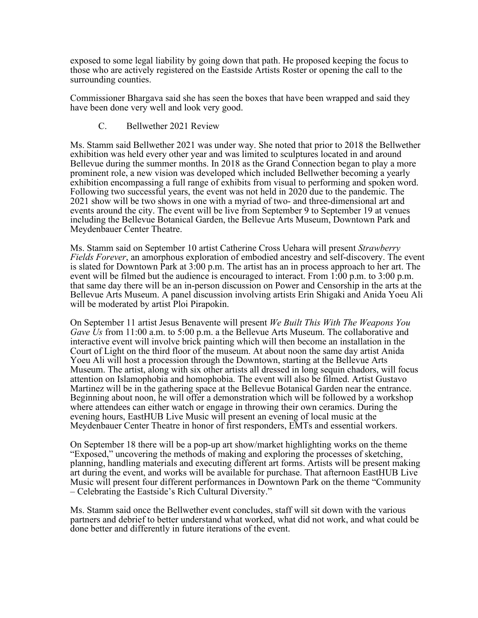exposed to some legal liability by going down that path. He proposed keeping the focus to those who are actively registered on the Eastside Artists Roster or opening the call to the surrounding counties.

Commissioner Bhargava said she has seen the boxes that have been wrapped and said they have been done very well and look very good.

C. Bellwether 2021 Review

Ms. Stamm said Bellwether 2021 was under way. She noted that prior to 2018 the Bellwether exhibition was held every other year and was limited to sculptures located in and around Bellevue during the summer months. In 2018 as the Grand Connection began to play a more prominent role, a new vision was developed which included Bellwether becoming a yearly exhibition encompassing a full range of exhibits from visual to performing and spoken word. Following two successful years, the event was not held in 2020 due to the pandemic. The 2021 show will be two shows in one with a myriad of two- and three-dimensional art and events around the city. The event will be live from September 9 to September 19 at venues including the Bellevue Botanical Garden, the Bellevue Arts Museum, Downtown Park and Meydenbauer Center Theatre.

Ms. Stamm said on September 10 artist Catherine Cross Uehara will present *Strawberry Fields Forever*, an amorphous exploration of embodied ancestry and self-discovery. The event is slated for Downtown Park at 3:00 p.m. The artist has an in process approach to her art. The event will be filmed but the audience is encouraged to interact. From 1:00 p.m. to 3:00 p.m. that same day there will be an in-person discussion on Power and Censorship in the arts at the Bellevue Arts Museum. A panel discussion involving artists Erin Shigaki and Anida Yoeu Ali will be moderated by artist Ploi Pirapokin.

On September 11 artist Jesus Benavente will present *We Built This With The Weapons You Gave Us* from 11:00 a.m. to 5:00 p.m. a the Bellevue Arts Museum. The collaborative and interactive event will involve brick painting which will then become an installation in the Court of Light on the third floor of the museum. At about noon the same day artist Anida Yoeu Ali will host a procession through the Downtown, starting at the Bellevue Arts Museum. The artist, along with six other artists all dressed in long sequin chadors, will focus attention on Islamophobia and homophobia. The event will also be filmed. Artist Gustavo Martinez will be in the gathering space at the Bellevue Botanical Garden near the entrance. Beginning about noon, he will offer a demonstration which will be followed by a workshop where attendees can either watch or engage in throwing their own ceramics. During the evening hours, EastHUB Live Music will present an evening of local music at the Meydenbauer Center Theatre in honor of first responders, EMTs and essential workers.

On September 18 there will be a pop-up art show/market highlighting works on the theme "Exposed," uncovering the methods of making and exploring the processes of sketching, planning, handling materials and executing different art forms. Artists will be present making art during the event, and works will be available for purchase. That afternoon EastHUB Live Music will present four different performances in Downtown Park on the theme "Community – Celebrating the Eastside's Rich Cultural Diversity."

Ms. Stamm said once the Bellwether event concludes, staff will sit down with the various partners and debrief to better understand what worked, what did not work, and what could be done better and differently in future iterations of the event.